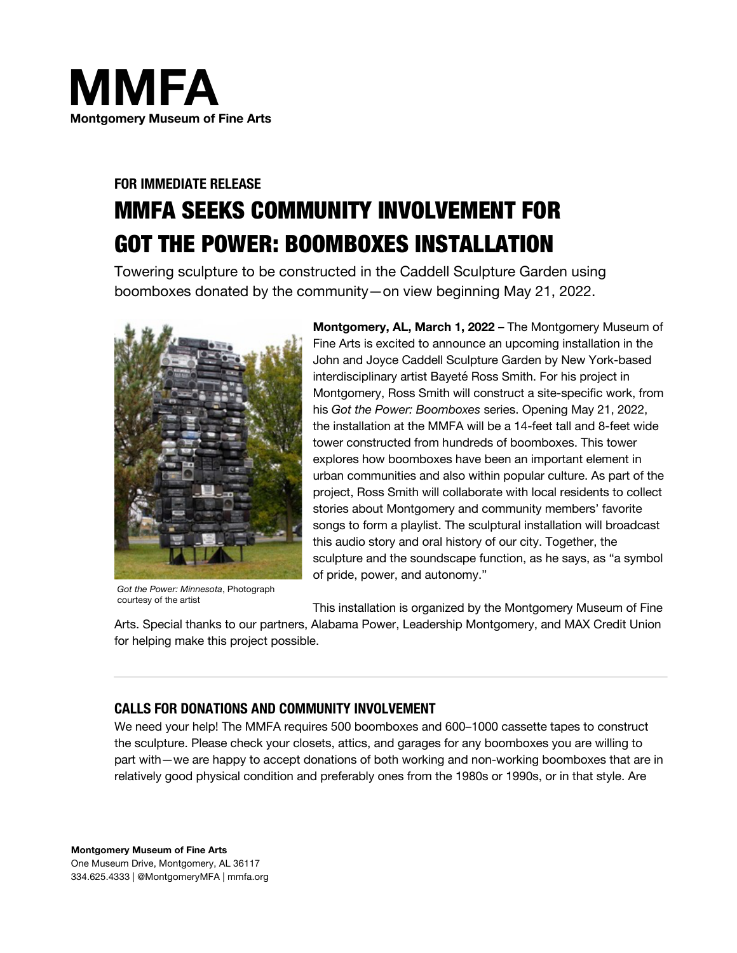

# **FOR IMMEDIATE RELEASE** MMFA SEEKS COMMUNITY INVOLVEMENT FOR GOT THE POWER: BOOMBOXES INSTALLATION

Towering sculpture to be constructed in the Caddell Sculpture Garden using boomboxes donated by the community—on view beginning May 21, 2022.



*Got the Power: Minnesota*, Photograph courtesy of the artist

**Montgomery, AL, March 1, 2022** – The Montgomery Museum of Fine Arts is excited to announce an upcoming installation in the John and Joyce Caddell Sculpture Garden by New York-based interdisciplinary artist Bayeté Ross Smith. For his project in Montgomery, Ross Smith will construct a site-specific work, from his *Got the Power: Boomboxes* series. Opening May 21, 2022, the installation at the MMFA will be a 14-feet tall and 8-feet wide tower constructed from hundreds of boomboxes. This tower explores how boomboxes have been an important element in urban communities and also within popular culture. As part of the project, Ross Smith will collaborate with local residents to collect stories about Montgomery and community members' favorite songs to form a playlist. The sculptural installation will broadcast this audio story and oral history of our city. Together, the sculpture and the soundscape function, as he says, as "a symbol of pride, power, and autonomy."

This installation is organized by the Montgomery Museum of Fine

Arts. Special thanks to our partners, Alabama Power, Leadership Montgomery, and MAX Credit Union for helping make this project possible.

## **CALLS FOR DONATIONS AND COMMUNITY INVOLVEMENT**

We need your help! The MMFA requires 500 boomboxes and 600–1000 cassette tapes to construct the sculpture. Please check your closets, attics, and garages for any boomboxes you are willing to part with—we are happy to accept donations of both working and non-working boomboxes that are in relatively good physical condition and preferably ones from the 1980s or 1990s, or in that style. Are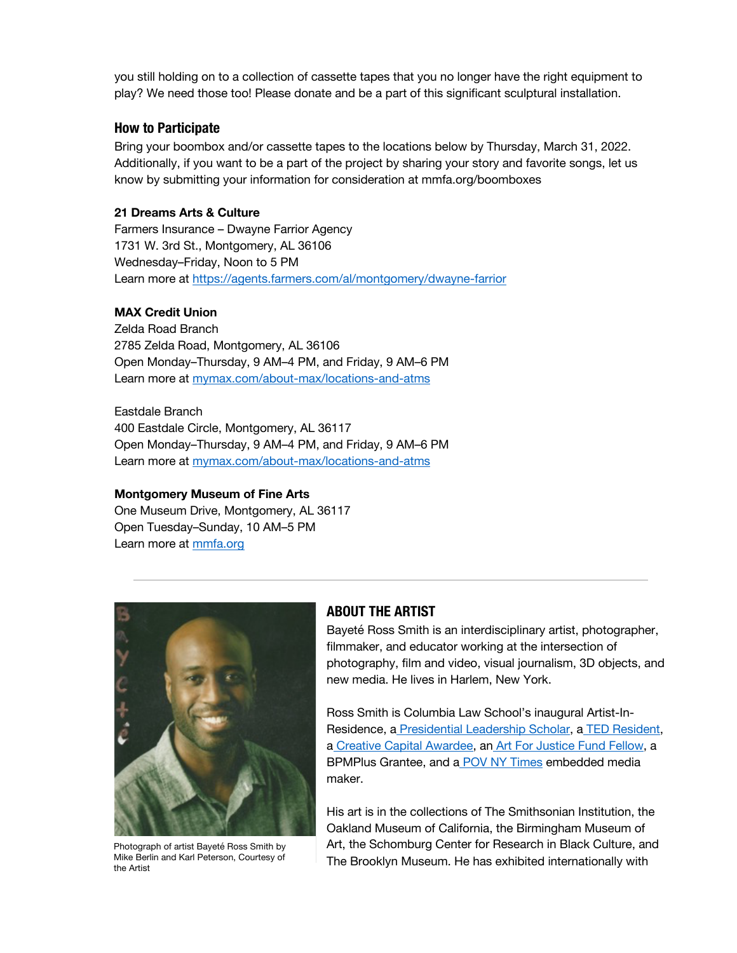you still holding on to a collection of cassette tapes that you no longer have the right equipment to play? We need those too! Please donate and be a part of this significant sculptural installation.

## **How to Participate**

Bring your boombox and/or cassette tapes to the locations below by Thursday, March 31, 2022. Additionally, if you want to be a part of the project by sharing your story and favorite songs, let us know by submitting your information for consideration at mmfa.org/boomboxes

### **21 Dreams Arts & Culture**

Farmers Insurance – Dwayne Farrior Agency 1731 W. 3rd St., Montgomery, AL 36106 Wednesday–Friday, Noon to 5 PM Learn more at https://agents.farmers.com/al/montgomery/dwayne-farrior

## **MAX Credit Union**

Zelda Road Branch 2785 Zelda Road, Montgomery, AL 36106 Open Monday–Thursday, 9 AM–4 PM, and Friday, 9 AM–6 PM Learn more at mymax.com/about-max/locations-and-atms

Eastdale Branch 400 Eastdale Circle, Montgomery, AL 36117 Open Monday–Thursday, 9 AM–4 PM, and Friday, 9 AM–6 PM Learn more at mymax.com/about-max/locations-and-atms

### **Montgomery Museum of Fine Arts**

One Museum Drive, Montgomery, AL 36117 Open Tuesday–Sunday, 10 AM–5 PM Learn more at mmfa.org



Photograph of artist Bayeté Ross Smith by Mike Berlin and Karl Peterson, Courtesy of the Artist

## **ABOUT THE ARTIST**

Bayeté Ross Smith is an interdisciplinary artist, photographer, filmmaker, and educator working at the intersection of photography, film and video, visual journalism, 3D objects, and new media. He lives in Harlem, New York.

Ross Smith is Columbia Law School's inaugural Artist-In-Residence, a Presidential Leadership Scholar, a TED Resident, a Creative Capital Awardee, an Art For Justice Fund Fellow, a BPMPlus Grantee, and a POV NY Times embedded media maker.

His art is in the collections of The Smithsonian Institution, the Oakland Museum of California, the Birmingham Museum of Art, the Schomburg Center for Research in Black Culture, and The Brooklyn Museum. He has exhibited internationally with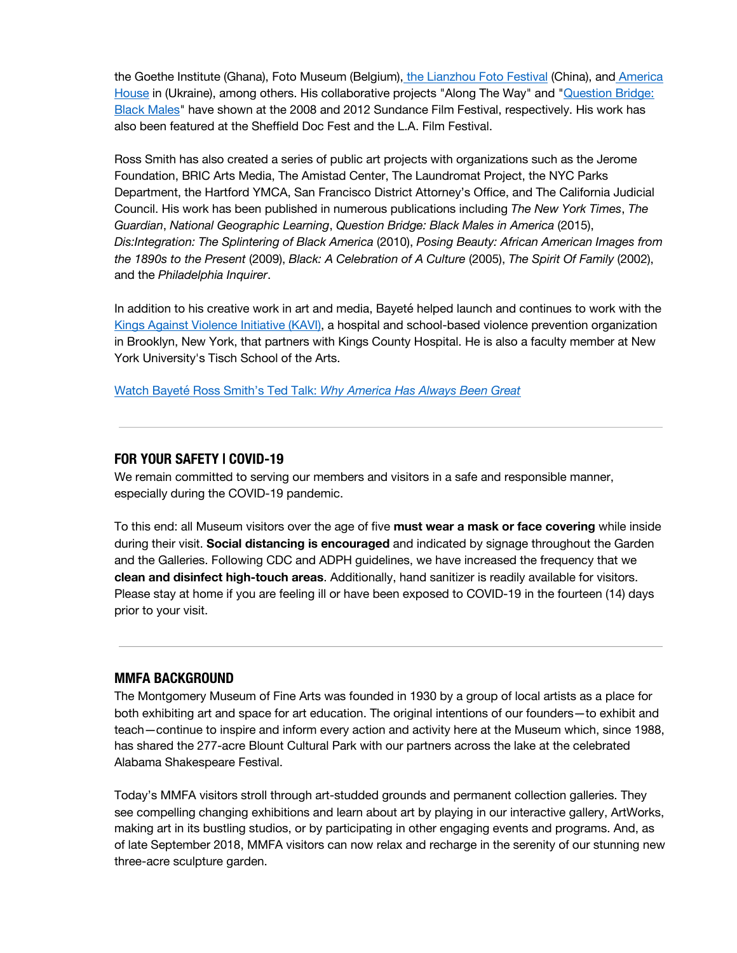the Goethe Institute (Ghana), Foto Museum (Belgium), the Lianzhou Foto Festival (China), and America House in (Ukraine), among others. His collaborative projects "Along The Way" and "Question Bridge: Black Males" have shown at the 2008 and 2012 Sundance Film Festival, respectively. His work has also been featured at the Sheffield Doc Fest and the L.A. Film Festival.

Ross Smith has also created a series of public art projects with organizations such as the Jerome Foundation, BRIC Arts Media, The Amistad Center, The Laundromat Project, the NYC Parks Department, the Hartford YMCA, San Francisco District Attorney's Office, and The California Judicial Council. His work has been published in numerous publications including *The New York Times*, *The Guardian*, *National Geographic Learning*, *Question Bridge: Black Males in America* (2015), *Dis:Integration: The Splintering of Black America* (2010), *Posing Beauty: African American Images from the 1890s to the Present* (2009), *Black: A Celebration of A Culture* (2005), *The Spirit Of Family* (2002), and the *Philadelphia Inquirer*.

In addition to his creative work in art and media, Bayeté helped launch and continues to work with the Kings Against Violence Initiative (KAVI), a hospital and school-based violence prevention organization in Brooklyn, New York, that partners with Kings County Hospital. He is also a faculty member at New York University's Tisch School of the Arts.

Watch Bayeté Ross Smith's Ted Talk: *Why America Has Always Been Great*

### **FOR YOUR SAFETY | COVID-19**

We remain committed to serving our members and visitors in a safe and responsible manner, especially during the COVID-19 pandemic.

To this end: all Museum visitors over the age of five **must wear a mask or face covering** while inside during their visit. **Social distancing is encouraged** and indicated by signage throughout the Garden and the Galleries. Following CDC and ADPH guidelines, we have increased the frequency that we **clean and disinfect high-touch areas**. Additionally, hand sanitizer is readily available for visitors. Please stay at home if you are feeling ill or have been exposed to COVID-19 in the fourteen (14) days prior to your visit.

### **MMFA BACKGROUND**

The Montgomery Museum of Fine Arts was founded in 1930 by a group of local artists as a place for both exhibiting art and space for art education. The original intentions of our founders—to exhibit and teach—continue to inspire and inform every action and activity here at the Museum which, since 1988, has shared the 277-acre Blount Cultural Park with our partners across the lake at the celebrated Alabama Shakespeare Festival.

Today's MMFA visitors stroll through art-studded grounds and permanent collection galleries. They see compelling changing exhibitions and learn about art by playing in our interactive gallery, ArtWorks, making art in its bustling studios, or by participating in other engaging events and programs. And, as of late September 2018, MMFA visitors can now relax and recharge in the serenity of our stunning new three-acre sculpture garden.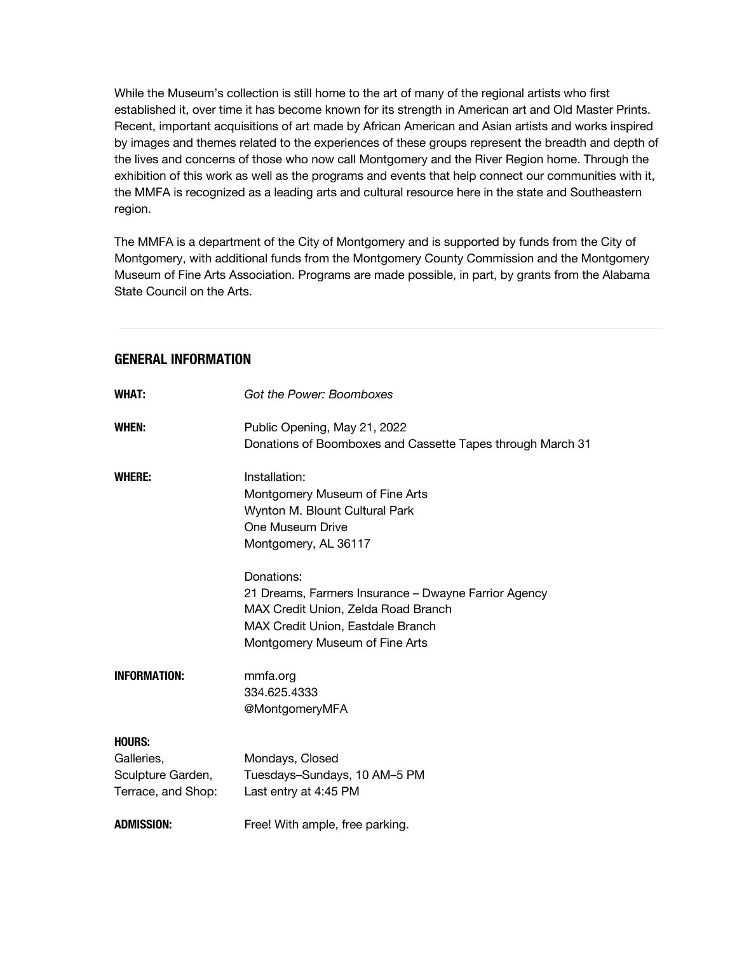While the Museum's collection is still home to the art of many of the regional artists who first established it, over time it has become known for its strength in American art and Old Master Prints. Recent, important acquisitions of art made by African American and Asian artists and works inspired by images and themes related to the experiences of these groups represent the breadth and depth of the lives and concerns of those who now call Montgomery and the River Region home. Through the exhibition of this work as well as the programs and events that help connect our communities with it, the MMFA is recognized as a leading arts and cultural resource here in the state and Southeastern region.

The MMFA is a department of the City of Montgomery and is supported by funds from the City of Montgomery, with additional funds from the Montgomery County Commission and the Montgomery Museum of Fine Arts Association. Programs are made possible, in part, by grants from the Alabama State Council on the Arts.

## **GENERAL INFORMATION**

| <b>WHAT:</b>        | Got the Power: Boomboxes                                                                   |
|---------------------|--------------------------------------------------------------------------------------------|
| WHEN:               | Public Opening, May 21, 2022<br>Donations of Boomboxes and Cassette Tapes through March 31 |
|                     |                                                                                            |
| WHERE:              | Installation:                                                                              |
|                     | Montgomery Museum of Fine Arts                                                             |
|                     | Wynton M. Blount Cultural Park                                                             |
|                     | One Museum Drive                                                                           |
|                     | Montgomery, AL 36117                                                                       |
|                     | Donations:                                                                                 |
|                     | 21 Dreams, Farmers Insurance - Dwayne Farrior Agency                                       |
|                     | MAX Credit Union, Zelda Road Branch                                                        |
|                     | MAX Credit Union, Eastdale Branch                                                          |
|                     | Montgomery Museum of Fine Arts                                                             |
| <b>INFORMATION:</b> | mmfa.org                                                                                   |
|                     | 334.625.4333                                                                               |
|                     | @MontgomeryMFA                                                                             |
| <b>HOURS:</b>       |                                                                                            |
| Galleries,          | Mondays, Closed                                                                            |
| Sculpture Garden,   | Tuesdays-Sundays, 10 AM-5 PM                                                               |
| Terrace, and Shop:  | Last entry at 4:45 PM                                                                      |
| <b>ADMISSION:</b>   | Free! With ample, free parking.                                                            |